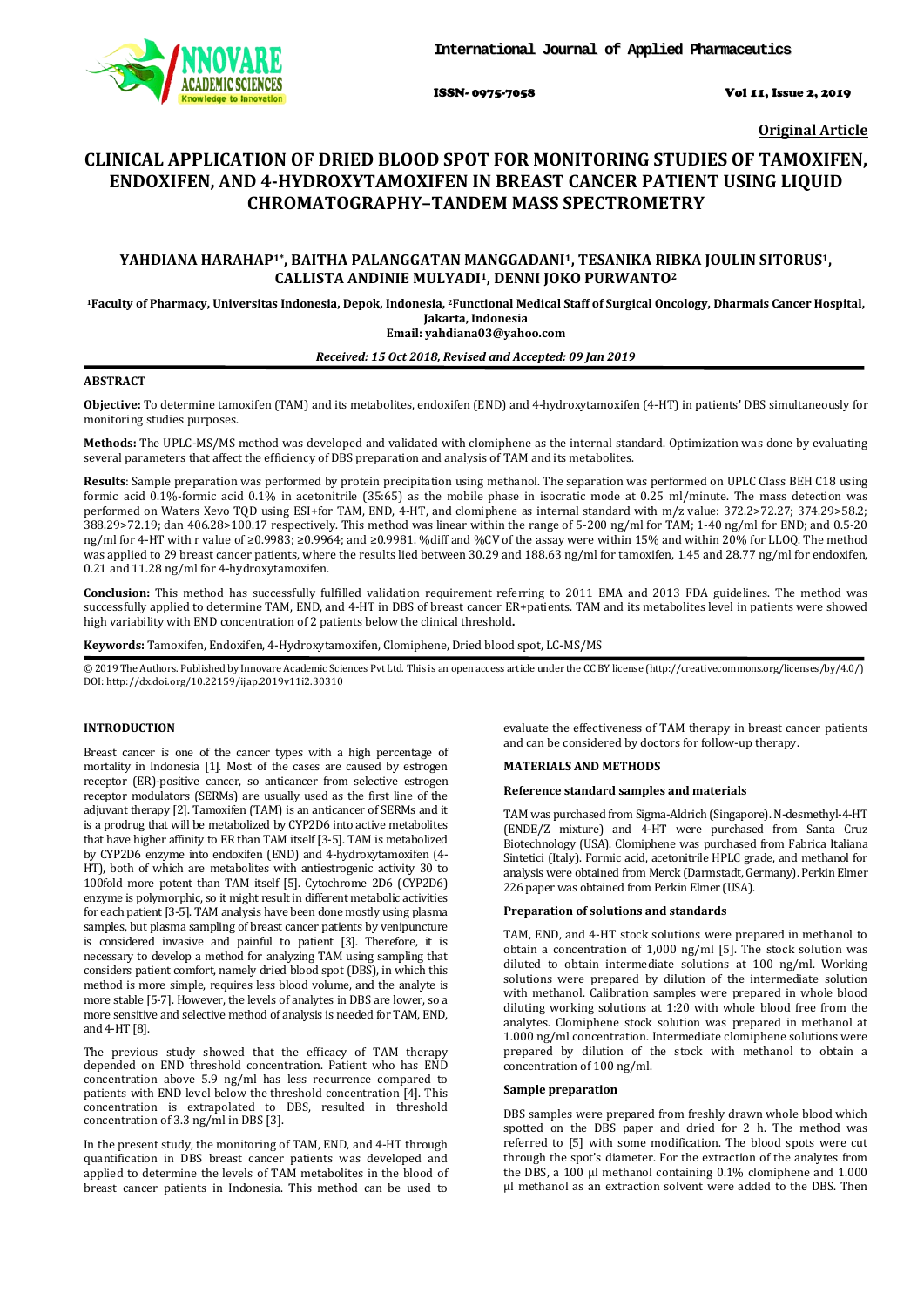

ISSN- 0975-7058 Vol 11, Issue 2, 2019

**Original Article**

# **CLINICAL APPLICATION OF DRIED BLOOD SPOT FOR MONITORING STUDIES OF TAMOXIFEN, ENDOXIFEN, AND 4-HYDROXYTAMOXIFEN IN BREAST CANCER PATIENT USING LIQUID CHROMATOGRAPHY–TANDEM MASS SPECTROMETRY**

# **YAHDIANA HARAHAP1\*, BAITHA PALANGGATAN MANGGADANI1, TESANIKA RIBKA JOULIN SITORUS1, CALLISTA ANDINIE MULYADI1, DENNI JOKO PURWANTO2**

**1Faculty of Pharmacy, Universitas Indonesia, Depok, Indonesia, 2Functional Medical Staff of Surgical Oncology, Dharmais Cancer Hospital, Jakarta, Indonesia Email: yahdiana03@yahoo.com**

## *Received: 15 Oct 2018, Revised and Accepted: 09 Jan 2019*

# **ABSTRACT**

**Objective:** To determine tamoxifen (TAM) and its metabolites, endoxifen (END) and 4-hydroxytamoxifen (4-HT) in patients' DBS simultaneously for monitoring studies purposes.

**Methods:** The UPLC-MS/MS method was developed and validated with clomiphene as the internal standard. Optimization was done by evaluating several parameters that affect the efficiency of DBS preparation and analysis of TAM and its metabolites.

**Results**: Sample preparation was performed by protein precipitation using methanol. The separation was performed on UPLC Class BEH C18 using formic acid 0.1%-formic acid 0.1% in acetonitrile (35:65) as the mobile phase in isocratic mode at 0.25 ml/minute. The mass detection was performed on Waters Xevo TQD using ESI+for TAM, END, 4-HT, and clomiphene as internal standard with m/z value: 372.2>72.27; 374.29>58.2; 388.29>72.19; dan 406.28>100.17 respectively. This method was linear within the range of 5-200 ng/ml for TAM; 1-40 ng/ml for END; and 0.5-20 ng/ml for 4-HT with r value of ≥0.9983; ≥0.9964; and ≥0.9981. %diff and %CV of the assay were within 15% and within 20% for LLOQ. The method was applied to 29 breast cancer patients, where the results lied between 30.29 and 188.63 ng/ml for tamoxifen, 1.45 and 28.77 ng/ml for endoxifen, 0.21 and 11.28 ng/ml for 4-hydroxytamoxifen.

**Conclusion:** This method has successfully fulfilled validation requirement referring to 2011 EMA and 2013 FDA guidelines. The method was successfully applied to determine TAM, END, and 4-HT in DBS of breast cancer ER+patients. TAM and its metabolites level in patients were showed high variability with END concentration of 2 patients below the clinical threshold**.**

**Keywords:** Tamoxifen, Endoxifen, 4-Hydroxytamoxifen, Clomiphene, Dried blood spot, LC-MS/MS

© 2019 The Authors. Published by Innovare Academic Sciences Pvt Ltd. This is an open access article under the CC BY license [\(http://creativecommons.org/licenses/by/4.0/\)](http://creativecommons.org/licenses/by/4.0/) DOI: http://dx.doi.org/10.22159/ijap.2019v11i2.30310

## **INTRODUCTION**

Breast cancer is one of the cancer types with a high percentage of mortality in Indonesia [1]. Most of the cases are caused by estrogen receptor (ER)-positive cancer, so anticancer from selective estrogen receptor modulators (SERMs) are usually used as the first line of the adjuvant therapy [2]. Tamoxifen (TAM) is an anticancer of SERMs and it is a prodrug that will be metabolized by CYP2D6 into active metabolites that have higher affinity to ER than TAM itself [3-5]. TAM is metabolized by CYP2D6 enzyme into endoxifen (END) and 4-hydroxytamoxifen (4- HT), both of which are metabolites with antiestrogenic activity 30 to 100fold more potent than TAM itself [5]. Cytochrome 2D6 (CYP2D6) enzyme is polymorphic, so it might result in different metabolic activities for each patient [3-5]. TAM analysis have been done mostly using plasma samples, but plasma sampling of breast cancer patients by venipuncture is considered invasive and painful to patient [3]. Therefore, it is necessary to develop a method for analyzing TAM using sampling that considers patient comfort, namely dried blood spot (DBS), in which this method is more simple, requires less blood volume, and the analyte is more stable [5-7]. However, the levels of analytes in DBS are lower, so a more sensitive and selective method of analysis is needed for TAM, END, and 4-HT [8].

The previous study showed that the efficacy of TAM therapy depended on END threshold concentration. Patient who has END concentration above 5.9 ng/ml has less recurrence compared to patients with END level below the threshold concentration [4]. This concentration is extrapolated to DBS, resulted in threshold concentration of 3.3 ng/ml in DBS [3].

In the present study, the monitoring of TAM, END, and 4-HT through quantification in DBS breast cancer patients was developed and applied to determine the levels of TAM metabolites in the blood of breast cancer patients in Indonesia. This method can be used to evaluate the effectiveness of TAM therapy in breast cancer patients and can be considered by doctors for follow-up therapy.

#### **MATERIALS AND METHODS**

#### **Reference standard samples and materials**

TAM was purchased from Sigma-Aldrich (Singapore). N-desmethyl-4-HT (ENDE/Z mixture) and 4-HT were purchased from Santa Cruz Biotechnology (USA). Clomiphene was purchased from Fabrica Italiana Sintetici (Italy). Formic acid, acetonitrile HPLC grade, and methanol for analysis were obtained from Merck (Darmstadt, Germany). Perkin Elmer 226 paper was obtained from Perkin Elmer (USA).

#### **Preparation of solutions and standards**

TAM, END, and 4-HT stock solutions were prepared in methanol to obtain a concentration of 1,000 ng/ml [5]. The stock solution was diluted to obtain intermediate solutions at 100 ng/ml. Working solutions were prepared by dilution of the intermediate solution with methanol. Calibration samples were prepared in whole blood diluting working solutions at 1:20 with whole blood free from the analytes. Clomiphene stock solution was prepared in methanol at 1.000 ng/ml concentration. Intermediate clomiphene solutions were prepared by dilution of the stock with methanol to obtain a concentration of 100 ng/ml.

### **Sample preparation**

DBS samples were prepared from freshly drawn whole blood which spotted on the DBS paper and dried for 2 h. The method was referred to [5] with some modification. The blood spots were cut through the spot's diameter. For the extraction of the analytes from the DBS, a 100 μl methanol containing 0.1% clomiphene and 1.000 μl methanol as an extraction solvent were added to the DBS. Then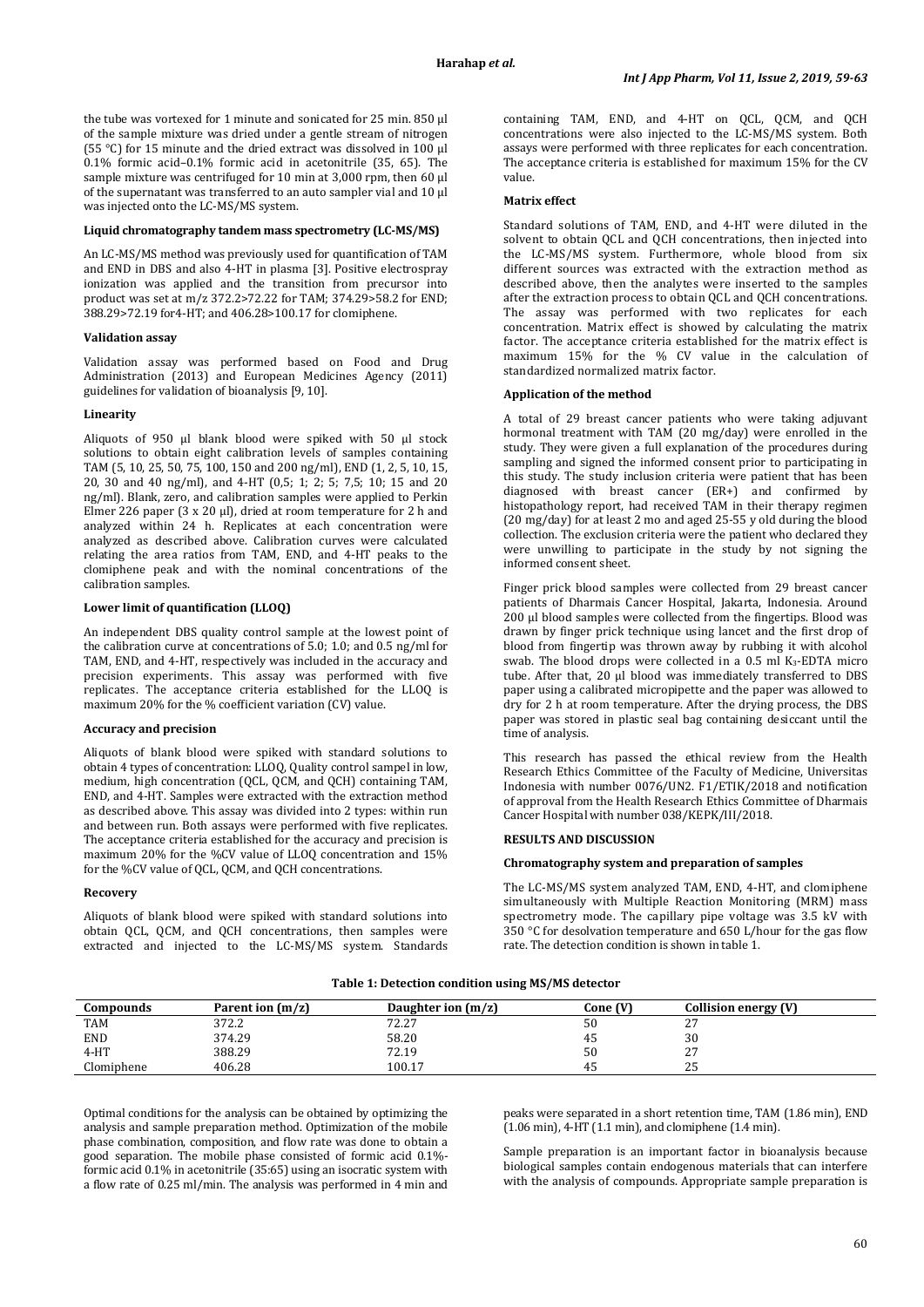the tube was vortexed for 1 minute and sonicated for 25 min. 850 μl of the sample mixture was dried under a gentle stream of nitrogen (55 °C) for 15 minute and the dried extract was dissolved in 100 μl 0.1% formic acid–0.1% formic acid in acetonitrile (35, 65). The sample mixture was centrifuged for 10 min at 3,000 rpm, then 60 μl of the supernatant was transferred to an auto sampler vial and 10 μl was injected onto the LC-MS/MS system.

## **Liquid chromatography tandem mass spectrometry (LC-MS/MS)**

An LC-MS/MS method was previously used for quantification of TAM and END in DBS and also 4-HT in plasma [3]. Positive electrospray ionization was applied and the transition from precursor into product was set at m/z 372.2>72.22 for TAM; 374.29>58.2 for END; 388.29>72.19 for4-HT; and 406.28>100.17 for clomiphene.

#### **Validation assay**

Validation assay was performed based on Food and Drug Administration (2013) and European Medicines Agency (2011) guidelines for validation of bioanalysis [9, 10].

#### **Linearity**

Aliquots of 950 μl blank blood were spiked with 50 μl stock solutions to obtain eight calibration levels of samples containing TAM (5, 10, 25, 50, 75, 100, 150 and 200 ng/ml), END (1, 2, 5, 10, 15, 20, 30 and 40 ng/ml), and 4-HT (0,5; 1; 2; 5; 7,5; 10; 15 and 20 ng/ml). Blank, zero, and calibration samples were applied to Perkin Elmer 226 paper (3 x 20 μl), dried at room temperature for 2 h and analyzed within 24 h. Replicates at each concentration were analyzed as described above. Calibration curves were calculated relating the area ratios from TAM, END, and 4-HT peaks to the clomiphene peak and with the nominal concentrations of the calibration samples.

#### **Lower limit of quantification (LLOQ)**

An independent DBS quality control sample at the lowest point of the calibration curve at concentrations of 5.0; 1.0; and 0.5 ng/ml for TAM, END, and 4-HT, respectively was included in the accuracy and precision experiments. This assay was performed with five replicates. The acceptance criteria established for the LLOQ is maximum 20% for the % coefficient variation (CV) value.

## **Accuracy and precision**

Aliquots of blank blood were spiked with standard solutions to obtain 4 types of concentration: LLOQ, Quality control sampel in low, medium, high concentration (QCL, QCM, and QCH) containing TAM, END, and 4-HT. Samples were extracted with the extraction method as described above. This assay was divided into 2 types: within run and between run. Both assays were performed with five replicates. The acceptance criteria established for the accuracy and precision is maximum 20% for the %CV value of LLOQ concentration and 15% for the %CV value of QCL, QCM, and QCH concentrations.

#### **Recovery**

Aliquots of blank blood were spiked with standard solutions into obtain QCL, QCM, and QCH concentrations, then samples were extracted and injected to the LC-MS/MS system. Standards containing TAM, END, and 4-HT on QCL, QCM, and QCH concentrations were also injected to the LC-MS/MS system. Both assays were performed with three replicates for each concentration. The acceptance criteria is established for maximum 15% for the CV value.

## **Matrix effect**

Standard solutions of TAM, END, and 4-HT were diluted in the solvent to obtain QCL and QCH concentrations, then injected into the LC-MS/MS system. Furthermore, whole blood from six different sources was extracted with the extraction method as described above, then the analytes were inserted to the samples after the extraction process to obtain QCL and QCH concentrations. The assay was performed with two replicates for each concentration. Matrix effect is showed by calculating the matrix factor. The acceptance criteria established for the matrix effect is maximum 15% for the % CV value in the calculation of standardized normalized matrix factor.

#### **Application of the method**

A total of 29 breast cancer patients who were taking adjuvant hormonal treatment with TAM (20 mg/day) were enrolled in the study. They were given a full explanation of the procedures during sampling and signed the informed consent prior to participating in this study. The study inclusion criteria were patient that has been diagnosed with breast cancer (ER+) and confirmed by histopathology report, had received TAM in their therapy regimen (20 mg/day) for at least 2 mo and aged 25-55 y old during the blood collection. The exclusion criteria were the patient who declared they were unwilling to participate in the study by not signing the informed consent sheet.

Finger prick blood samples were collected from 29 breast cancer patients of Dharmais Cancer Hospital, Jakarta, Indonesia. Around 200 μl blood samples were collected from the fingertips. Blood was drawn by finger prick technique using lancet and the first drop of blood from fingertip was thrown away by rubbing it with alcohol swab. The blood drops were collected in a 0.5 ml K3-EDTA micro tube. After that, 20 μl blood was immediately transferred to DBS paper using a calibrated micropipette and the paper was allowed to dry for 2 h at room temperature. After the drying process, the DBS paper was stored in plastic seal bag containing desiccant until the time of analysis.

This research has passed the ethical review from the Health Research Ethics Committee of the Faculty of Medicine, Universitas Indonesia with number 0076/UN2. F1/ETIK/2018 and notification of approval from the Health Research Ethics Committee of Dharmais Cancer Hospital with number 038/KEPK/III/2018.

## **RESULTS AND DISCUSSION**

## **Chromatography system and preparation of samples**

The LC-MS/MS system analyzed TAM, END, 4-HT, and clomiphene simultaneously with Multiple Reaction Monitoring (MRM) mass spectrometry mode. The capillary pipe voltage was 3.5 kV with 350 °C for desolvation temperature and 650 L/hour for the gas flow rate. The detection condition is shown in table 1.

**Table 1: Detection condition using MS/MS detector**

| Compounds  | Parent ion $(m/z)$ | Daughter ion $(m/z)$ | Cone (V) | Collision energy (V) |
|------------|--------------------|----------------------|----------|----------------------|
| <b>TAM</b> | 372.2              | 72.27                | 50       | ה ה<br>ـ ـ           |
| <b>END</b> | 374.29             | 58.20                | 45       | 30                   |
| $4-HT$     | 388.29             | 72.19                | 50       | 27<br>، ،            |
| Clomiphene | 406.28             | 100.17               | 45       | 25                   |

Optimal conditions for the analysis can be obtained by optimizing the analysis and sample preparation method. Optimization of the mobile phase combination, composition, and flow rate was done to obtain a good separation. The mobile phase consisted of formic acid 0.1% formic acid 0.1% in acetonitrile (35:65) using an isocratic system with a flow rate of 0.25 ml/min. The analysis was performed in 4 min and

peaks were separated in a short retention time, TAM (1.86 min), END (1.06 min), 4-HT (1.1 min), and clomiphene (1.4 min).

Sample preparation is an important factor in bioanalysis because biological samples contain endogenous materials that can interfere with the analysis of compounds. Appropriate sample preparation is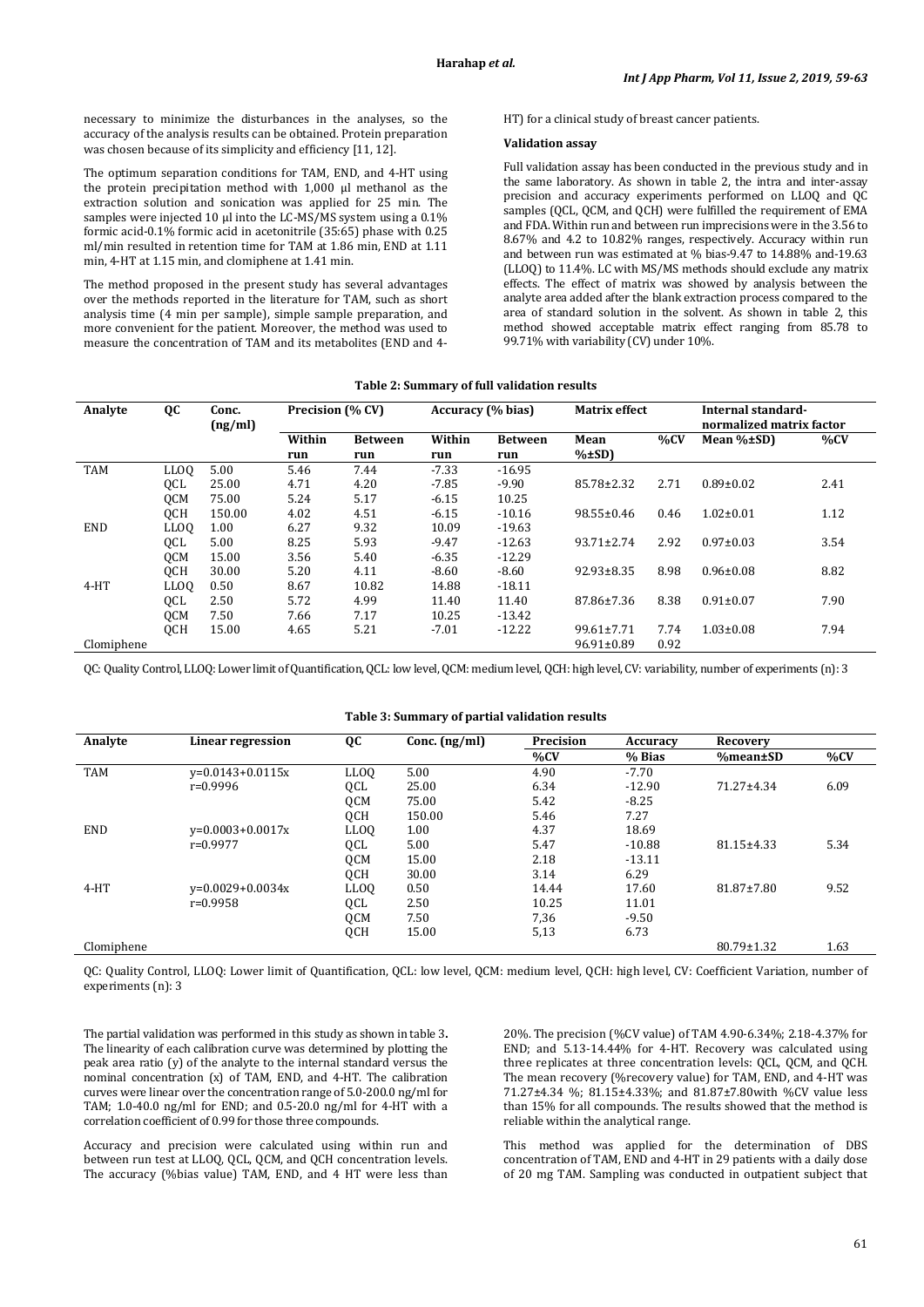necessary to minimize the disturbances in the analyses, so the accuracy of the analysis results can be obtained. Protein preparation was chosen because of its simplicity and efficiency [11, 12].

The optimum separation conditions for TAM, END, and 4-HT using the protein precipitation method with 1,000 μl methanol as the extraction solution and sonication was applied for 25 min. The samples were injected 10 μl into the LC-MS/MS system using a 0.1% formic acid-0.1% formic acid in acetonitrile (35:65) phase with 0.25 ml/min resulted in retention time for TAM at 1.86 min, END at 1.11 min, 4-HT at 1.15 min, and clomiphene at 1.41 min.

The method proposed in the present study has several advantages over the methods reported in the literature for TAM, such as short analysis time (4 min per sample), simple sample preparation, and more convenient for the patient. Moreover, the method was used to measure the concentration of TAM and its metabolites (END and 4HT) for a clinical study of breast cancer patients.

## **Validation assay**

Full validation assay has been conducted in the previous study and in the same laboratory. As shown in table 2, the intra and inter-assay precision and accuracy experiments performed on LLOQ and QC samples (QCL, QCM, and QCH) were fulfilled the requirement of EMA and FDA. Within run and between run imprecisions were in the 3.56 to 8.67% and 4.2 to 10.82% ranges, respectively. Accuracy within run and between run was estimated at % bias-9.47 to 14.88% and-19.63 (LLOQ) to 11.4%. LC with MS/MS methods should exclude any matrix effects. The effect of matrix was showed by analysis between the analyte area added after the blank extraction process compared to the area of standard solution in the solvent. As shown in table 2, this method showed acceptable matrix effect ranging from 85.78 to 99.71% with variability (CV) under 10%.

## **Table 2: Summary of full validation results**

| Analyte    | QC          | Conc.   | Precision (% CV) |                | Accuracy (% bias) |                | <b>Matrix effect</b> |                          | Internal standard- |      |
|------------|-------------|---------|------------------|----------------|-------------------|----------------|----------------------|--------------------------|--------------------|------|
|            |             | (ng/ml) |                  |                |                   |                |                      | normalized matrix factor |                    |      |
|            |             |         | Within           | <b>Between</b> | Within            | <b>Between</b> | Mean                 | %CV                      | Mean %±SD)         | %CV  |
|            |             |         | run              | run            | run               | run            | $\% \pm SD$          |                          |                    |      |
| <b>TAM</b> | <b>LLOQ</b> | 5.00    | 5.46             | 7.44           | $-7.33$           | $-16.95$       |                      |                          |                    |      |
|            | QCL         | 25.00   | 4.71             | 4.20           | $-7.85$           | $-9.90$        | 85.78±2.32           | 2.71                     | $0.89 \pm 0.02$    | 2.41 |
|            | <b>OCM</b>  | 75.00   | 5.24             | 5.17           | $-6.15$           | 10.25          |                      |                          |                    |      |
|            | <b>OCH</b>  | 150.00  | 4.02             | 4.51           | $-6.15$           | $-10.16$       | $98.55 \pm 0.46$     | 0.46                     | $1.02 \pm 0.01$    | 1.12 |
| <b>END</b> | <b>LLOQ</b> | 1.00    | 6.27             | 9.32           | 10.09             | $-19.63$       |                      |                          |                    |      |
|            | QCL         | 5.00    | 8.25             | 5.93           | $-9.47$           | $-12.63$       | $93.71 \pm 2.74$     | 2.92                     | $0.97 \pm 0.03$    | 3.54 |
|            | <b>OCM</b>  | 15.00   | 3.56             | 5.40           | $-6.35$           | $-12.29$       |                      |                          |                    |      |
|            | <b>OCH</b>  | 30.00   | 5.20             | 4.11           | $-8.60$           | $-8.60$        | $92.93 \pm 8.35$     | 8.98                     | $0.96 \pm 0.08$    | 8.82 |
| $4-HT$     | <b>LLOQ</b> | 0.50    | 8.67             | 10.82          | 14.88             | $-18.11$       |                      |                          |                    |      |
|            | QCL         | 2.50    | 5.72             | 4.99           | 11.40             | 11.40          | 87.86±7.36           | 8.38                     | $0.91 \pm 0.07$    | 7.90 |
|            | <b>OCM</b>  | 7.50    | 7.66             | 7.17           | 10.25             | $-13.42$       |                      |                          |                    |      |
|            | QCH         | 15.00   | 4.65             | 5.21           | $-7.01$           | $-12.22$       | $99.61 \pm 7.71$     | 7.74                     | $1.03 \pm 0.08$    | 7.94 |
| Clomiphene |             |         |                  |                |                   |                | $96.91 \pm 0.89$     | 0.92                     |                    |      |

QC: Quality Control, LLOQ: Lower limit of Quantification, QCL: low level, QCM: medium level, QCH: high level, CV: variability, number of experiments (n): 3

| Analyte    | Linear regression  | QC               | Conc. $(ng/ml)$ | Precision | <b>Accuracy</b> | Recovery         |      |
|------------|--------------------|------------------|-----------------|-----------|-----------------|------------------|------|
|            |                    |                  |                 | %CV       | % Bias          | %mean±SD         | %CV  |
| <b>TAM</b> | $v=0.0143+0.0115x$ | LL <sub>00</sub> | 5.00            | 4.90      | $-7.70$         |                  |      |
|            | $r=0.9996$         | QCL              | 25.00           | 6.34      | $-12.90$        | 71.27±4.34       | 6.09 |
|            |                    | QCM              | 75.00           | 5.42      | $-8.25$         |                  |      |
|            |                    | <b>OCH</b>       | 150.00          | 5.46      | 7.27            |                  |      |
| <b>END</b> | $v=0.0003+0.0017x$ | LL <sub>00</sub> | 1.00            | 4.37      | 18.69           |                  |      |
|            | $r=0.9977$         | QCL              | 5.00            | 5.47      | $-10.88$        | $81.15 \pm 4.33$ | 5.34 |
|            |                    | QCM              | 15.00           | 2.18      | $-13.11$        |                  |      |
|            |                    | QCH              | 30.00           | 3.14      | 6.29            |                  |      |
| $4-HT$     | $v=0.0029+0.0034x$ | LL <sub>00</sub> | 0.50            | 14.44     | 17.60           | 81.87±7.80       | 9.52 |
|            | $r=0.9958$         | QCL              | 2.50            | 10.25     | 11.01           |                  |      |
|            |                    | <b>OCM</b>       | 7.50            | 7,36      | $-9.50$         |                  |      |
|            |                    | QCH              | 15.00           | 5,13      | 6.73            |                  |      |
| Clomiphene |                    |                  |                 |           |                 | $80.79 \pm 1.32$ | 1.63 |

QC: Quality Control, LLOQ: Lower limit of Quantification, QCL: low level, QCM: medium level, QCH: high level, CV: Coefficient Variation, number of experiments (n): 3

The partial validation was performed in this study as shown in table 3**.** The linearity of each calibration curve was determined by plotting the peak area ratio (y) of the analyte to the internal standard versus the nominal concentration (x) of TAM, END, and 4-HT. The calibration curves were linear over the concentration range of 5.0-200.0 ng/ml for TAM; 1.0-40.0 ng/ml for END; and 0.5-20.0 ng/ml for 4-HT with a correlation coefficient of 0.99 for those three compounds.

Accuracy and precision were calculated using within run and between run test at LLOQ, QCL, QCM, and QCH concentration levels. The accuracy (%bias value) TAM, END, and 4 HT were less than 20%. The precision (%CV value) of TAM 4.90-6.34%; 2.18-4.37% for END; and 5.13-14.44% for 4-HT. Recovery was calculated using three replicates at three concentration levels: QCL, QCM, and QCH. The mean recovery (%recovery value) for TAM, END, and 4-HT was 71.27±4.34 %; 81.15±4.33%; and 81.87±7.80with %CV value less than 15% for all compounds. The results showed that the method is reliable within the analytical range.

This method was applied for the determination of DBS concentration of TAM, END and 4-HT in 29 patients with a daily dose of 20 mg TAM. Sampling was conducted in outpatient subject that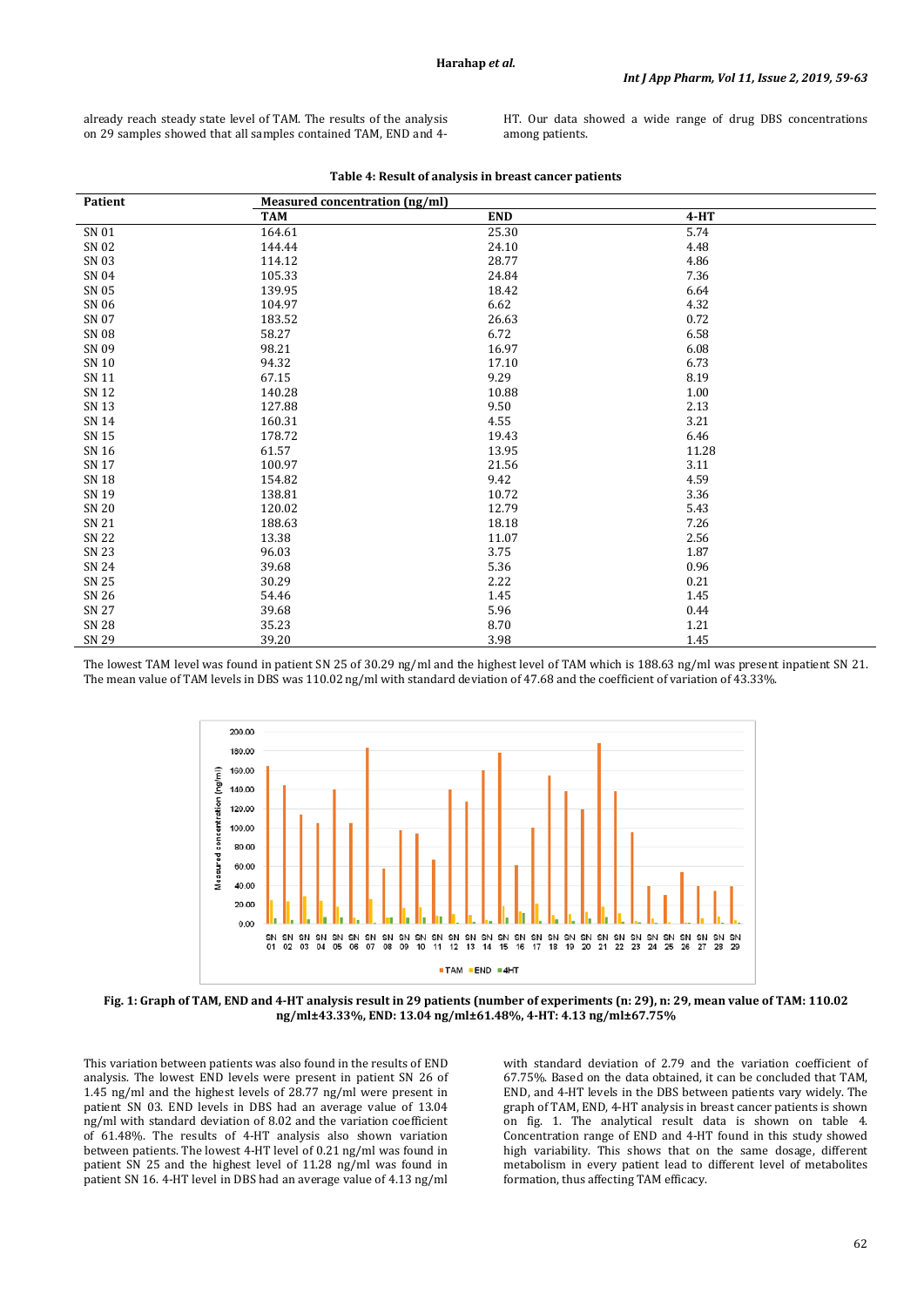already reach steady state level of TAM. The results of the analysis on 29 samples showed that all samples contained TAM, END and 4HT. Our data showed a wide range of drug DBS concentrations among patients.

| <b>Patient</b> | Measured concentration (ng/ml) |            |        |  |  |  |
|----------------|--------------------------------|------------|--------|--|--|--|
|                | <b>TAM</b>                     | <b>END</b> | $4-HT$ |  |  |  |
| SN 01          | 164.61                         | 25.30      | 5.74   |  |  |  |
| SN 02          | 144.44                         | 24.10      | 4.48   |  |  |  |
| SN 03          | 114.12                         | 28.77      | 4.86   |  |  |  |
| SN 04          | 105.33                         | 24.84      | 7.36   |  |  |  |
| SN 05          | 139.95                         | 18.42      | 6.64   |  |  |  |
| SN 06          | 104.97                         | 6.62       | 4.32   |  |  |  |
| SN 07          | 183.52                         | 26.63      | 0.72   |  |  |  |
| SN 08          | 58.27                          | 6.72       | 6.58   |  |  |  |
| SN 09          | 98.21                          | 16.97      | 6.08   |  |  |  |
| SN 10          | 94.32                          | 17.10      | 6.73   |  |  |  |
| SN 11          | 67.15                          | 9.29       | 8.19   |  |  |  |
| SN 12          | 140.28                         | 10.88      | 1.00   |  |  |  |
| SN 13          | 127.88                         | 9.50       | 2.13   |  |  |  |
| SN 14          | 160.31                         | 4.55       | 3.21   |  |  |  |
| SN 15          | 178.72                         | 19.43      | 6.46   |  |  |  |
| SN 16          | 61.57                          | 13.95      | 11.28  |  |  |  |
| SN 17          | 100.97                         | 21.56      | 3.11   |  |  |  |
| SN 18          | 154.82                         | 9.42       | 4.59   |  |  |  |
| SN 19          | 138.81                         | 10.72      | 3.36   |  |  |  |
| SN 20          | 120.02                         | 12.79      | 5.43   |  |  |  |
| SN 21          | 188.63                         | 18.18      | 7.26   |  |  |  |
| SN 22          | 13.38                          | 11.07      | 2.56   |  |  |  |
| SN 23          | 96.03                          | 3.75       | 1.87   |  |  |  |
| SN 24          | 39.68                          | 5.36       | 0.96   |  |  |  |
| SN 25          | 30.29                          | 2.22       | 0.21   |  |  |  |
| SN 26          | 54.46                          | 1.45       | 1.45   |  |  |  |
| SN 27          | 39.68                          | 5.96       | 0.44   |  |  |  |
| <b>SN 28</b>   | 35.23                          | 8.70       | 1.21   |  |  |  |
| SN 29          | 39.20                          | 3.98       | 1.45   |  |  |  |

**Table 4: Result of analysis in breast cancer patients**

The lowest TAM level was found in patient SN 25 of 30.29 ng/ml and the highest level of TAM which is 188.63 ng/ml was present inpatient SN 21. The mean value of TAM levels in DBS was 110.02 ng/ml with standard deviation of 47.68 and the coefficient of variation of 43.33%.



**Fig. 1: Graph of TAM, END and 4-HT analysis result in 29 patients (number of experiments (n: 29), n: 29, mean value of TAM: 110.02 ng/ml±43.33%, END: 13.04 ng/ml±61.48%, 4-HT: 4.13 ng/ml±67.75%**

This variation between patients was also found in the results of END analysis. The lowest END levels were present in patient SN 26 of 1.45 ng/ml and the highest levels of 28.77 ng/ml were present in patient SN 03. END levels in DBS had an average value of 13.04 ng/ml with standard deviation of 8.02 and the variation coefficient of 61.48%. The results of 4-HT analysis also shown variation between patients. The lowest 4-HT level of 0.21 ng/ml was found in patient SN 25 and the highest level of 11.28 ng/ml was found in patient SN 16. 4-HT level in DBS had an average value of 4.13 ng/ml with standard deviation of 2.79 and the variation coefficient of 67.75%. Based on the data obtained, it can be concluded that TAM, END, and 4-HT levels in the DBS between patients vary widely. The graph of TAM, END, 4-HT analysis in breast cancer patients is shown on fig. 1. The analytical result data is shown on table 4. Concentration range of END and 4-HT found in this study showed high variability. This shows that on the same dosage, different metabolism in every patient lead to different level of metabolites formation, thus affecting TAM efficacy.